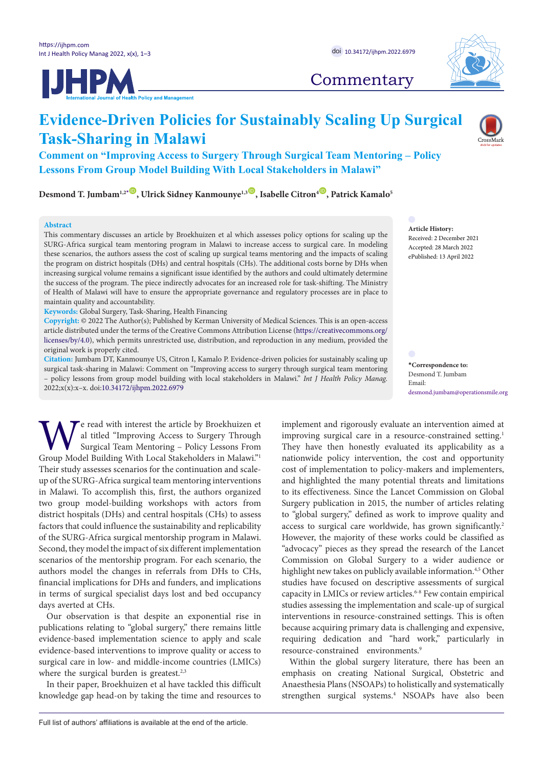



# **Commentary**

# **Evidence-Driven Policies for Sustainably Scaling Up Surgical Task-Sharing in Malawi**

**Comment on "Improving Access to Surgery Through Surgical Team Mentoring – Policy Lessons From Group Model Building With Local Stakeholders in Malawi"**

Desmond T. Jumbam<sup>1,2<sup>*[\\*](#page-0-0)*</sup> **O**, Ulrick Sidney Kanmounye<sup>1,3</sup> D, Isabelle Citron<sup>4</sup><sup>(D</sup>), Patrick Kamalo<sup>5</sup></sup>

## **Abstract**

This commentary discusses an article by Broekhuizen et al which assesses policy options for scaling up the SURG-Africa surgical team mentoring program in Malawi to increase access to surgical care. In modeling these scenarios, the authors assess the cost of scaling up surgical teams mentoring and the impacts of scaling the program on district hospitals (DHs) and central hospitals (CHs). The additional costs borne by DHs when increasing surgical volume remains a significant issue identified by the authors and could ultimately determine the success of the program. The piece indirectly advocates for an increased role for task-shifting. The Ministry of Health of Malawi will have to ensure the appropriate governance and regulatory processes are in place to maintain quality and accountability.

**Keywords:** Global Surgery, Task-Sharing, Health Financing

**Copyright:** © 2022 The Author(s); Published by Kerman University of Medical Sciences. This is an open-access article distributed under the terms of the Creative Commons Attribution License ([https://creativecommons.org/](https://creativecommons.org/licenses/by/4.0/) [licenses/by/4.0](https://creativecommons.org/licenses/by/4.0/)), which permits unrestricted use, distribution, and reproduction in any medium, provided the original work is properly cited.

**Citation:** Jumbam DT, Kanmounye US, Citron I, Kamalo P. Evidence-driven policies for sustainably scaling up surgical task-sharing in Malawi: Comment on "Improving access to surgery through surgical team mentoring – policy lessons from group model building with local stakeholders in Malawi." *Int J Health Policy Manag.*  2022;x(x):x–x. doi:[10.34172/ijhpm.2022.6979](https://doi.org/10.34172/ijhpm.2022.6979)

e read with interest the article by Broekhuizen et al titled "Improving Access to Surgery Through Surgical Team Mentoring – Policy Lessons From Group Model Building With Local Stakeholders in Malawi."[1](https://www.zotero.org/google-docs/?lKpoas) Their study assesses scenarios for the continuation and scaleup of the SURG-Africa surgical team mentoring interventions in Malawi. To accomplish this, first, the authors organized two group model-building workshops with actors from district hospitals (DHs) and central hospitals (CHs) to assess factors that could influence the sustainability and replicability of the SURG-Africa surgical mentorship program in Malawi. Second, they model the impact of six different implementation scenarios of the mentorship program. For each scenario, the authors model the changes in referrals from DHs to CHs, financial implications for DHs and funders, and implications in terms of surgical specialist days lost and bed occupancy days averted at CHs.

Our observation is that despite an exponential rise in publications relating to "global surgery," there remains little evidence-based implementation science to apply and scale evidence-based interventions to improve quality or access to surgical care in low- and middle-income countries (LMICs) where the surgical burden is greatest.<sup>[2,3](https://www.zotero.org/google-docs/?RSeJQe)</sup>

In their paper, Broekhuizen et al have tackled this difficult knowledge gap head-on by taking the time and resources to implement and rigorously evaluate an intervention aimed at improving surgical care in a resource-constrained setting.<sup>[1](https://www.zotero.org/google-docs/?tG9xK1)</sup> They have then honestly evaluated its applicability as a nationwide policy intervention, the cost and opportunity cost of implementation to policy-makers and implementers, and highlighted the many potential threats and limitations to its effectiveness. Since the Lancet Commission on Global Surgery publication in 2015, the number of articles relating to "global surgery," defined as work to improve quality and access to surgical care worldwide, has grown significantly.<sup>[2](https://www.zotero.org/google-docs/?6ydtiV)</sup> However, the majority of these works could be classified as "advocacy" pieces as they spread the research of the Lancet Commission on Global Surgery to a wider audience or highlight new takes on publicly available information.<sup>4,5</sup> Other studies have focused on descriptive assessments of surgical capacity in LMICs or review articles.  $^{6\text{-}8}$  Few contain empirical studies assessing the implementation and scale-up of surgical interventions in resource-constrained settings. This is often because acquiring primary data is challenging and expensive, requiring dedication and "hard work," particularly in resource-constrained environments.<sup>[9](https://www.zotero.org/google-docs/?5huK2I)</sup>

Within the global surgery literature, there has been an emphasis on creating National Surgical, Obstetric and Anaesthesia Plans (NSOAPs) to holistically and systematically strengthen surgical systems[.4](https://www.zotero.org/google-docs/?XUsDpo) NSOAPs have also been

**Article History:** Received: 2 December 2021 Accepted: 28 March 2022 ePublished: 13 April 2022

<span id="page-0-0"></span>**\*Correspondence to:** Desmond T. Jumbam Email: desmond.jumbam@operationsmile.org

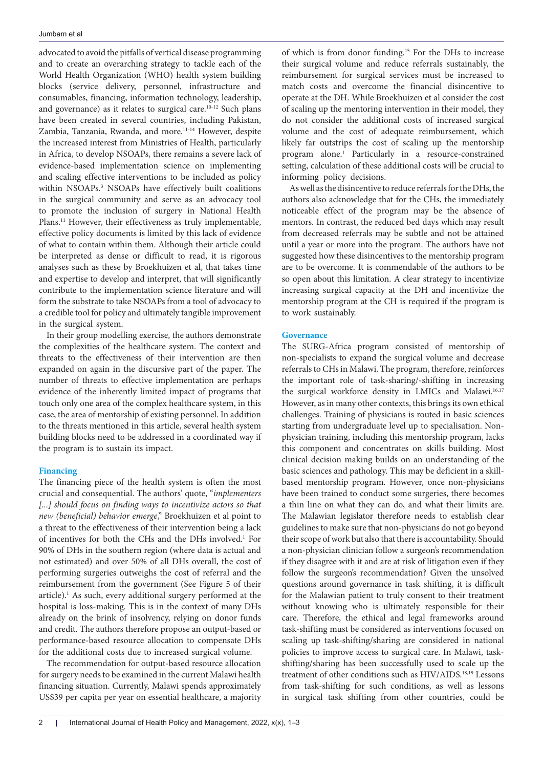advocated to avoid the pitfalls of vertical disease programming and to create an overarching strategy to tackle each of the World Health Organization (WHO) health system building blocks (service delivery, personnel, infrastructure and consumables, financing, information technology, leadership, and governance) as it relates to surgical care.<sup>10-12</sup> Such plans have been created in several countries, including Pakistan, Zambia, Tanzania, Rwanda, and more[.11-14](https://www.zotero.org/google-docs/?9ROBro) However, despite the increased interest from Ministries of Health, particularly in Africa, to develop NSOAPs, there remains a severe lack of evidence-based implementation science on implementing and scaling effective interventions to be included as policy within NSOAPs[.3](https://www.zotero.org/google-docs/?0RgUnn) NSOAPs have effectively built coalitions in the surgical community and serve as an advocacy tool to promote the inclusion of surgery in National Health Plans.<sup>11</sup> However, their effectiveness as truly implementable, effective policy documents is limited by this lack of evidence of what to contain within them. Although their article could be interpreted as dense or difficult to read, it is rigorous analyses such as these by Broekhuizen et al, that takes time and expertise to develop and interpret, that will significantly contribute to the implementation science literature and will form the substrate to take NSOAPs from a tool of advocacy to a credible tool for policy and ultimately tangible improvement in the surgical system.

In their group modelling exercise, the authors demonstrate the complexities of the healthcare system. The context and threats to the effectiveness of their intervention are then expanded on again in the discursive part of the paper. The number of threats to effective implementation are perhaps evidence of the inherently limited impact of programs that touch only one area of the complex healthcare system, in this case, the area of mentorship of existing personnel. In addition to the threats mentioned in this article, several health system building blocks need to be addressed in a coordinated way if the program is to sustain its impact.

#### **Financing**

The financing piece of the health system is often the most crucial and consequential. The authors' quote, "*implementers*  [...] should focus on finding ways to incentivize actors so that *new (beneficial) behavior emerge*," Broekhuizen et al point to a threat to the effectiveness of their intervention being a lack of incentives for both the CHs and the DHs involved[.1](https://www.zotero.org/google-docs/?7PAlBS) For 90% of DHs in the southern region (where data is actual and not estimated) and over 50% of all DHs overall, the cost of performing surgeries outweighs the cost of referral and the reimbursement from the government (See Figure 5 of their article).<sup>1</sup> As such, every additional surgery performed at the hospital is loss-making. This is in the context of many DHs already on the brink of insolvency, relying on donor funds and credit. The authors therefore propose an output-based or performance-based resource allocation to compensate DHs for the additional costs due to increased surgical volume.

The recommendation for output-based resource allocation for surgery needs to be examined in the current Malawi health financing situation. Currently, Malawi spends approximately US\$39 per capita per year on essential healthcare, a majority of which is from donor funding.[15](https://www.zotero.org/google-docs/?uuv2cX) For the DHs to increase their surgical volume and reduce referrals sustainably, the reimbursement for surgical services must be increased to match costs and overcome the financial disincentive to operate at the DH. While Broekhuizen et al consider the cost of scaling up the mentoring intervention in their model, they do not consider the additional costs of increased surgical volume and the cost of adequate reimbursement, which likely far outstrips the cost of scaling up the mentorship program alone[.1](https://www.zotero.org/google-docs/?StIbuN) Particularly in a resource-constrained setting, calculation of these additional costs will be crucial to informing policy decisions.

As well as the disincentive to reduce referrals for the DHs, the authors also acknowledge that for the CHs, the immediately noticeable effect of the program may be the absence of mentors. In contrast, the reduced bed days which may result from decreased referrals may be subtle and not be attained until a year or more into the program. The authors have not suggested how these disincentives to the mentorship program are to be overcome. It is commendable of the authors to be so open about this limitation. A clear strategy to incentivize increasing surgical capacity at the DH and incentivize the mentorship program at the CH is required if the program is to work sustainably.

# **Governance**

The SURG-Africa program consisted of mentorship of non-specialists to expand the surgical volume and decrease referrals to CHs in Malawi. The program, therefore, reinforces the important role of task-sharing/-shifting in increasing the surgical workforce density in LMICs and Malawi.<sup>16,17</sup> However, as in many other contexts, this brings its own ethical challenges. Training of physicians is routed in basic sciences starting from undergraduate level up to specialisation. Nonphysician training, including this mentorship program, lacks this component and concentrates on skills building. Most clinical decision making builds on an understanding of the basic sciences and pathology. This may be deficient in a skillbased mentorship program. However, once non-physicians have been trained to conduct some surgeries, there becomes a thin line on what they can do, and what their limits are. The Malawian legislator therefore needs to establish clear guidelines to make sure that non-physicians do not go beyond their scope of work but also that there is accountability. Should a non-physician clinician follow a surgeon's recommendation if they disagree with it and are at risk of litigation even if they follow the surgeon's recommendation? Given the unsolved questions around governance in task shifting, it is difficult for the Malawian patient to truly consent to their treatment without knowing who is ultimately responsible for their care. Therefore, the ethical and legal frameworks around task-shifting must be considered as interventions focused on scaling up task-shifting/sharing are considered in national policies to improve access to surgical care. In Malawi, taskshifting/sharing has been successfully used to scale up the treatment of other conditions such as HIV/AIDS.[18,19](https://www.zotero.org/google-docs/?dgRaCA) Lessons from task-shifting for such conditions, as well as lessons in surgical task shifting from other countries, could be